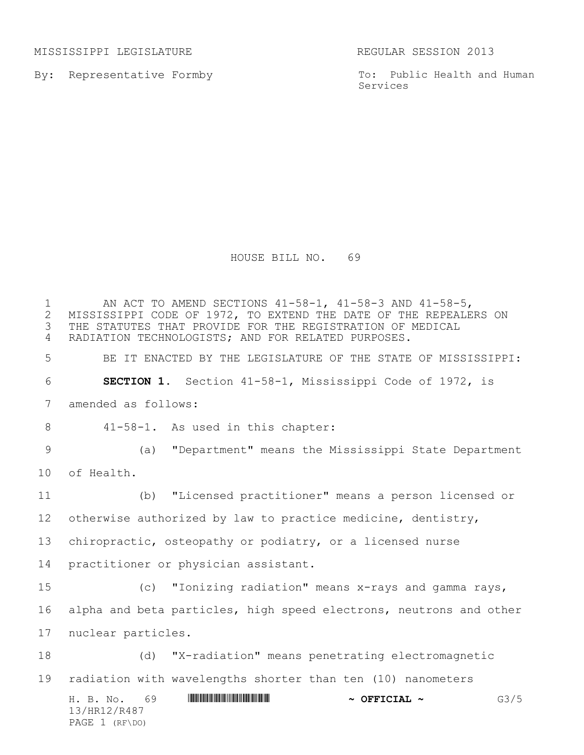MISSISSIPPI LEGISLATURE REGULAR SESSION 2013

PAGE 1 (RF\DO)

By: Representative Formby

To: Public Health and Human Services

HOUSE BILL NO. 69

H. B. No. 69 \*HR12/R487\* **~ OFFICIAL ~** G3/5 13/HR12/R487 1 MISSISSIPPI CODE OF 1972, TO EXTEND THE DATE OF THE REPEALE 2 MISSISSIPPI CODE OF 1972, TO EXTEND THE DATE OF THE REPEALERS ON<br>3 THE STATUTES THAT PROVIDE FOR THE REGISTRATION OF MEDICAL THE STATUTES THAT PROVIDE FOR THE REGISTRATION OF MEDICAL RADIATION TECHNOLOGISTS; AND FOR RELATED PURPOSES. BE IT ENACTED BY THE LEGISLATURE OF THE STATE OF MISSISSIPPI: **SECTION 1.** Section 41-58-1, Mississippi Code of 1972, is amended as follows: 41-58-1. As used in this chapter: (a) "Department" means the Mississippi State Department of Health. (b) "Licensed practitioner" means a person licensed or otherwise authorized by law to practice medicine, dentistry, chiropractic, osteopathy or podiatry, or a licensed nurse practitioner or physician assistant. (c) "Ionizing radiation" means x-rays and gamma rays, alpha and beta particles, high speed electrons, neutrons and other nuclear particles. (d) "X-radiation" means penetrating electromagnetic radiation with wavelengths shorter than ten (10) nanometers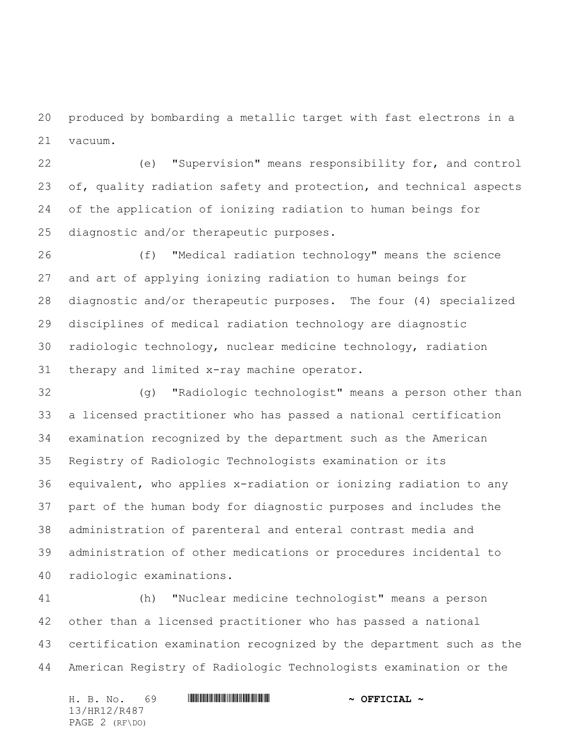produced by bombarding a metallic target with fast electrons in a vacuum.

 (e) "Supervision" means responsibility for, and control 23 of, quality radiation safety and protection, and technical aspects of the application of ionizing radiation to human beings for diagnostic and/or therapeutic purposes.

 (f) "Medical radiation technology" means the science and art of applying ionizing radiation to human beings for diagnostic and/or therapeutic purposes. The four (4) specialized disciplines of medical radiation technology are diagnostic radiologic technology, nuclear medicine technology, radiation therapy and limited x-ray machine operator.

 (g) "Radiologic technologist" means a person other than a licensed practitioner who has passed a national certification examination recognized by the department such as the American Registry of Radiologic Technologists examination or its equivalent, who applies x-radiation or ionizing radiation to any part of the human body for diagnostic purposes and includes the administration of parenteral and enteral contrast media and administration of other medications or procedures incidental to radiologic examinations.

 (h) "Nuclear medicine technologist" means a person other than a licensed practitioner who has passed a national certification examination recognized by the department such as the American Registry of Radiologic Technologists examination or the

H. B. No. 69 \*HR12/R487\* **~ OFFICIAL ~** 13/HR12/R487 PAGE 2 (RF\DO)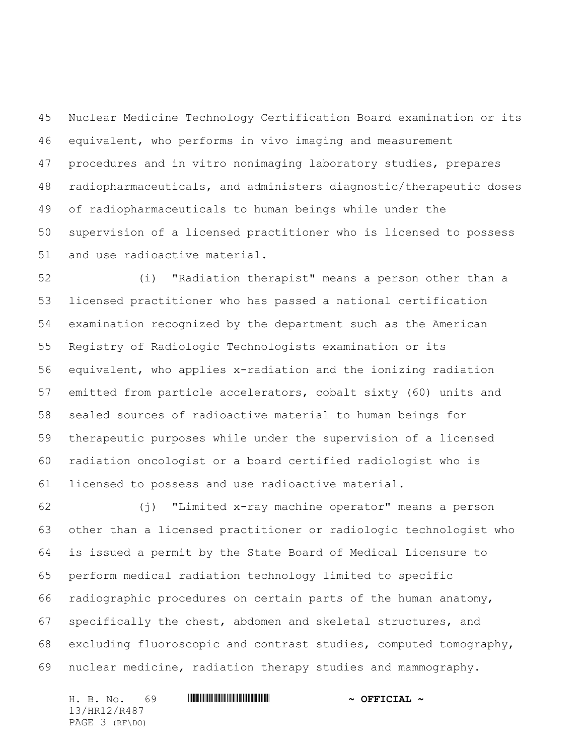Nuclear Medicine Technology Certification Board examination or its equivalent, who performs in vivo imaging and measurement procedures and in vitro nonimaging laboratory studies, prepares radiopharmaceuticals, and administers diagnostic/therapeutic doses of radiopharmaceuticals to human beings while under the supervision of a licensed practitioner who is licensed to possess and use radioactive material.

 (i) "Radiation therapist" means a person other than a licensed practitioner who has passed a national certification examination recognized by the department such as the American Registry of Radiologic Technologists examination or its equivalent, who applies x-radiation and the ionizing radiation emitted from particle accelerators, cobalt sixty (60) units and sealed sources of radioactive material to human beings for therapeutic purposes while under the supervision of a licensed radiation oncologist or a board certified radiologist who is licensed to possess and use radioactive material.

 (j) "Limited x-ray machine operator" means a person other than a licensed practitioner or radiologic technologist who is issued a permit by the State Board of Medical Licensure to perform medical radiation technology limited to specific radiographic procedures on certain parts of the human anatomy, specifically the chest, abdomen and skeletal structures, and excluding fluoroscopic and contrast studies, computed tomography, nuclear medicine, radiation therapy studies and mammography.

H. B. No. 69 \*HR12/R487\* **~ OFFICIAL ~** 13/HR12/R487 PAGE 3 (RF\DO)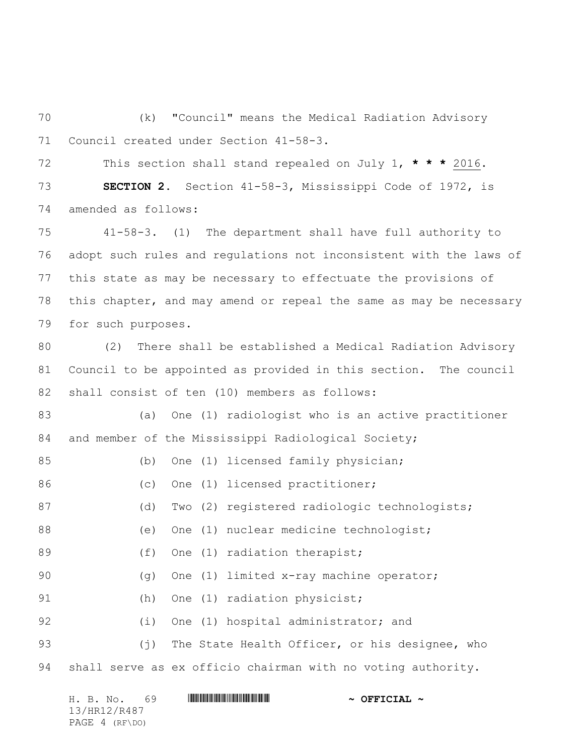(k) "Council" means the Medical Radiation Advisory Council created under Section 41-58-3.

 This section shall stand repealed on July 1, **\* \* \*** 2016. **SECTION 2.** Section 41-58-3, Mississippi Code of 1972, is amended as follows:

 41-58-3. (1) The department shall have full authority to adopt such rules and regulations not inconsistent with the laws of this state as may be necessary to effectuate the provisions of this chapter, and may amend or repeal the same as may be necessary for such purposes.

 (2) There shall be established a Medical Radiation Advisory Council to be appointed as provided in this section. The council shall consist of ten (10) members as follows:

 (a) One (1) radiologist who is an active practitioner and member of the Mississippi Radiological Society;

| 85 |     | (b) One (1) licensed family physician;             |
|----|-----|----------------------------------------------------|
| 86 |     | (c) One (1) licensed practitioner;                 |
| 87 | (d) | Two (2) registered radiologic technologists;       |
| 88 | (e) | One (1) nuclear medicine technologist;             |
| 89 |     | (f) One (1) radiation therapist;                   |
| 90 |     | $(q)$ One (1) limited x-ray machine operator;      |
| 91 |     | (h) One (1) radiation physicist;                   |
| 92 |     | (i) One (1) hospital administrator; and            |
| 93 |     | (j) The State Health Officer, or his designee, who |

shall serve as ex officio chairman with no voting authority.

| 69<br>H. B. No. | $\sim$ OFFICIAL $\sim$ |
|-----------------|------------------------|
| 13/HR12/R487    |                        |
| PAGE 4 (RF\DO)  |                        |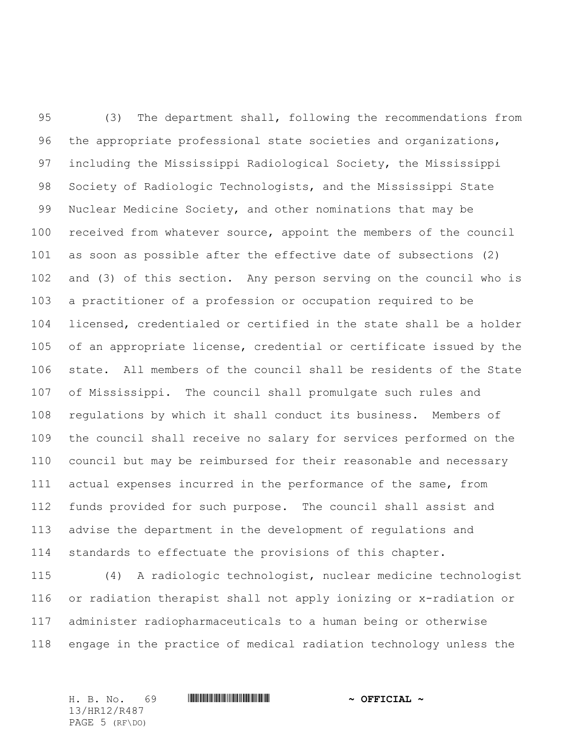(3) The department shall, following the recommendations from 96 the appropriate professional state societies and organizations, including the Mississippi Radiological Society, the Mississippi Society of Radiologic Technologists, and the Mississippi State Nuclear Medicine Society, and other nominations that may be received from whatever source, appoint the members of the council as soon as possible after the effective date of subsections (2) and (3) of this section. Any person serving on the council who is a practitioner of a profession or occupation required to be licensed, credentialed or certified in the state shall be a holder of an appropriate license, credential or certificate issued by the state. All members of the council shall be residents of the State of Mississippi. The council shall promulgate such rules and regulations by which it shall conduct its business. Members of the council shall receive no salary for services performed on the council but may be reimbursed for their reasonable and necessary actual expenses incurred in the performance of the same, from funds provided for such purpose. The council shall assist and advise the department in the development of regulations and standards to effectuate the provisions of this chapter.

 (4) A radiologic technologist, nuclear medicine technologist or radiation therapist shall not apply ionizing or x-radiation or administer radiopharmaceuticals to a human being or otherwise engage in the practice of medical radiation technology unless the

H. B. No. 69 \*HR12/R487\* **~ OFFICIAL ~** 13/HR12/R487 PAGE 5 (RF\DO)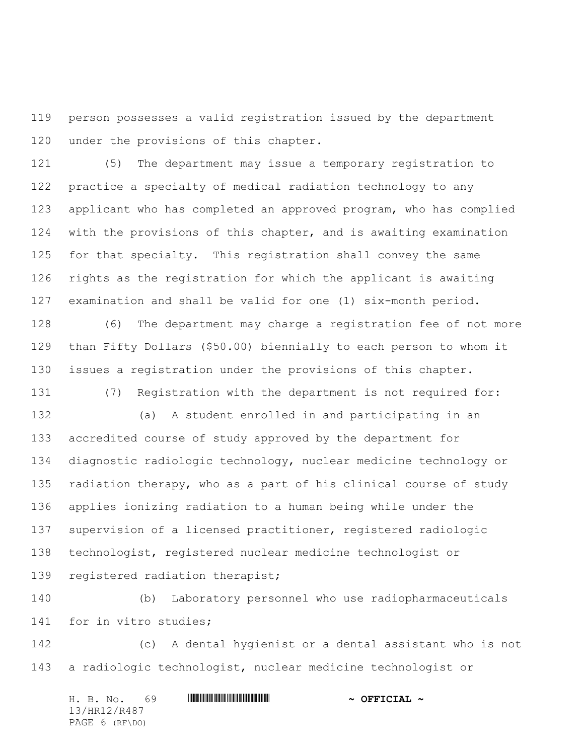person possesses a valid registration issued by the department under the provisions of this chapter.

 (5) The department may issue a temporary registration to practice a specialty of medical radiation technology to any applicant who has completed an approved program, who has complied with the provisions of this chapter, and is awaiting examination for that specialty. This registration shall convey the same rights as the registration for which the applicant is awaiting examination and shall be valid for one (1) six-month period.

 (6) The department may charge a registration fee of not more than Fifty Dollars (\$50.00) biennially to each person to whom it issues a registration under the provisions of this chapter.

(7) Registration with the department is not required for:

 (a) A student enrolled in and participating in an accredited course of study approved by the department for diagnostic radiologic technology, nuclear medicine technology or radiation therapy, who as a part of his clinical course of study applies ionizing radiation to a human being while under the supervision of a licensed practitioner, registered radiologic technologist, registered nuclear medicine technologist or registered radiation therapist;

 (b) Laboratory personnel who use radiopharmaceuticals for in vitro studies;

 (c) A dental hygienist or a dental assistant who is not a radiologic technologist, nuclear medicine technologist or

|  | H. B. No.      | 69 |  | $\sim$ OFFICIAL $\sim$ |  |
|--|----------------|----|--|------------------------|--|
|  | 13/HR12/R487   |    |  |                        |  |
|  | PAGE 6 (RF\DO) |    |  |                        |  |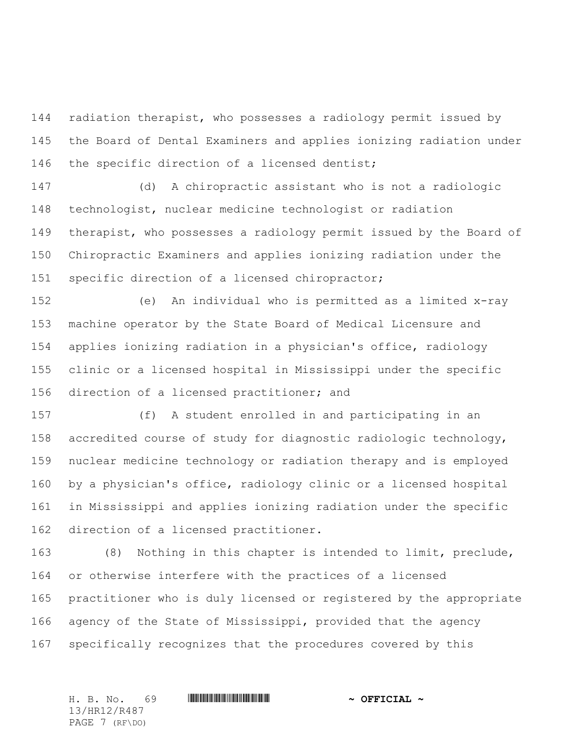radiation therapist, who possesses a radiology permit issued by the Board of Dental Examiners and applies ionizing radiation under the specific direction of a licensed dentist;

 (d) A chiropractic assistant who is not a radiologic technologist, nuclear medicine technologist or radiation therapist, who possesses a radiology permit issued by the Board of Chiropractic Examiners and applies ionizing radiation under the specific direction of a licensed chiropractor;

 (e) An individual who is permitted as a limited x-ray machine operator by the State Board of Medical Licensure and applies ionizing radiation in a physician's office, radiology clinic or a licensed hospital in Mississippi under the specific direction of a licensed practitioner; and

 (f) A student enrolled in and participating in an accredited course of study for diagnostic radiologic technology, nuclear medicine technology or radiation therapy and is employed by a physician's office, radiology clinic or a licensed hospital in Mississippi and applies ionizing radiation under the specific direction of a licensed practitioner.

 (8) Nothing in this chapter is intended to limit, preclude, or otherwise interfere with the practices of a licensed practitioner who is duly licensed or registered by the appropriate agency of the State of Mississippi, provided that the agency specifically recognizes that the procedures covered by this

13/HR12/R487 PAGE 7 (RF\DO)

H. B. No. 69 \*HR12/R487\* **~ OFFICIAL ~**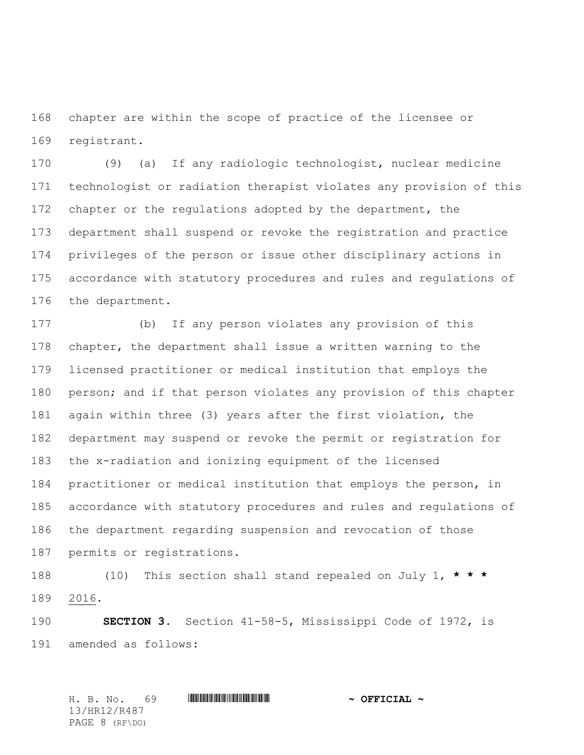chapter are within the scope of practice of the licensee or registrant.

 (9) (a) If any radiologic technologist, nuclear medicine technologist or radiation therapist violates any provision of this 172 chapter or the regulations adopted by the department, the department shall suspend or revoke the registration and practice privileges of the person or issue other disciplinary actions in accordance with statutory procedures and rules and regulations of the department.

 (b) If any person violates any provision of this chapter, the department shall issue a written warning to the licensed practitioner or medical institution that employs the person; and if that person violates any provision of this chapter again within three (3) years after the first violation, the department may suspend or revoke the permit or registration for the x-radiation and ionizing equipment of the licensed practitioner or medical institution that employs the person, in accordance with statutory procedures and rules and regulations of the department regarding suspension and revocation of those permits or registrations.

 (10) This section shall stand repealed on July 1, **\* \* \*** 2016.

 **SECTION 3.** Section 41-58-5, Mississippi Code of 1972, is amended as follows:

H. B. No. 69 \*HR12/R487\* **~ OFFICIAL ~** 13/HR12/R487 PAGE 8 (RF\DO)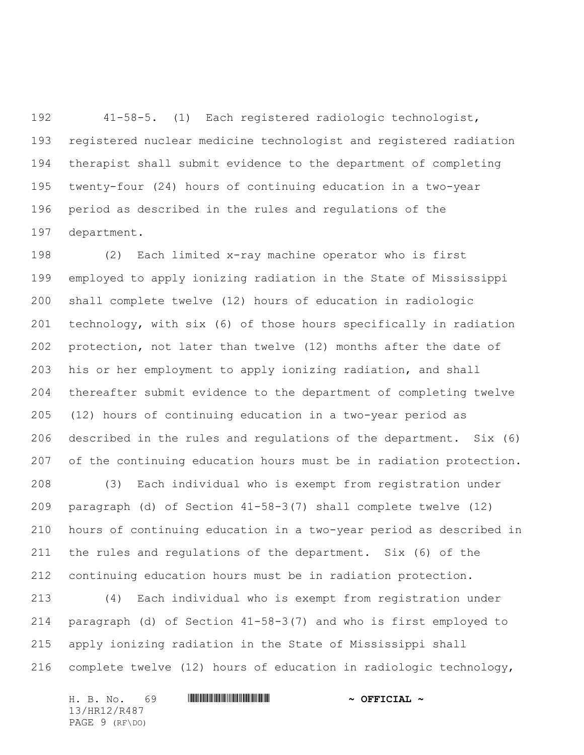41-58-5. (1) Each registered radiologic technologist, registered nuclear medicine technologist and registered radiation therapist shall submit evidence to the department of completing twenty-four (24) hours of continuing education in a two-year period as described in the rules and regulations of the department.

 (2) Each limited x-ray machine operator who is first employed to apply ionizing radiation in the State of Mississippi shall complete twelve (12) hours of education in radiologic technology, with six (6) of those hours specifically in radiation protection, not later than twelve (12) months after the date of his or her employment to apply ionizing radiation, and shall thereafter submit evidence to the department of completing twelve (12) hours of continuing education in a two-year period as described in the rules and regulations of the department. Six (6) of the continuing education hours must be in radiation protection. (3) Each individual who is exempt from registration under paragraph (d) of Section 41-58-3(7) shall complete twelve (12) hours of continuing education in a two-year period as described in the rules and regulations of the department. Six (6) of the continuing education hours must be in radiation protection.

 (4) Each individual who is exempt from registration under paragraph (d) of Section 41-58-3(7) and who is first employed to apply ionizing radiation in the State of Mississippi shall complete twelve (12) hours of education in radiologic technology,

H. B. No. 69 \*HR12/R487\* **~ OFFICIAL ~** 13/HR12/R487 PAGE 9 (RF\DO)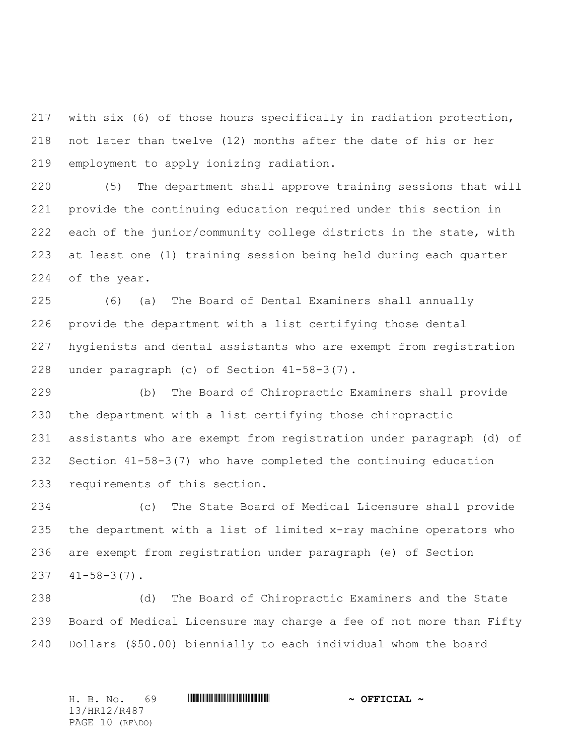with six (6) of those hours specifically in radiation protection, not later than twelve (12) months after the date of his or her employment to apply ionizing radiation.

 (5) The department shall approve training sessions that will provide the continuing education required under this section in each of the junior/community college districts in the state, with at least one (1) training session being held during each quarter of the year.

 (6) (a) The Board of Dental Examiners shall annually provide the department with a list certifying those dental hygienists and dental assistants who are exempt from registration under paragraph (c) of Section 41-58-3(7).

 (b)The Board of Chiropractic Examiners shall provide the department with a list certifying those chiropractic assistants who are exempt from registration under paragraph (d) of Section 41-58-3(7) who have completed the continuing education requirements of this section.

 (c) The State Board of Medical Licensure shall provide the department with a list of limited x-ray machine operators who are exempt from registration under paragraph (e) of Section  $41-58-3(7)$ .

 (d) The Board of Chiropractic Examiners and the State Board of Medical Licensure may charge a fee of not more than Fifty Dollars (\$50.00) biennially to each individual whom the board

H. B. No. 69 \*HR12/R487\* **~ OFFICIAL ~** 13/HR12/R487 PAGE 10 (RF\DO)